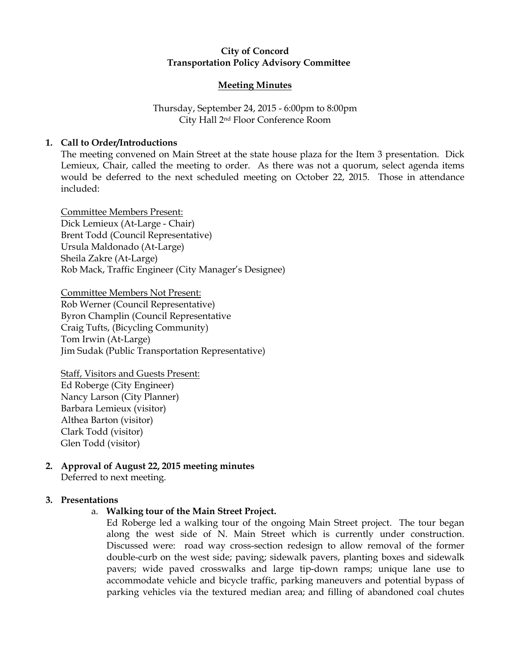# City of Concord Transportation Policy Advisory Committee

### Meeting Minutes

# Thursday, September 24, 2015 - 6:00pm to 8:00pm City Hall 2nd Floor Conference Room

# 1. Call to Order/Introductions

The meeting convened on Main Street at the state house plaza for the Item 3 presentation. Dick Lemieux, Chair, called the meeting to order. As there was not a quorum, select agenda items would be deferred to the next scheduled meeting on October 22, 2015. Those in attendance included:

Committee Members Present: Dick Lemieux (At-Large - Chair) Brent Todd (Council Representative) Ursula Maldonado (At-Large) Sheila Zakre (At-Large) Rob Mack, Traffic Engineer (City Manager's Designee)

Committee Members Not Present: Rob Werner (Council Representative) Byron Champlin (Council Representative Craig Tufts, (Bicycling Community) Tom Irwin (At-Large) Jim Sudak (Public Transportation Representative)

Staff, Visitors and Guests Present: Ed Roberge (City Engineer) Nancy Larson (City Planner) Barbara Lemieux (visitor) Althea Barton (visitor) Clark Todd (visitor) Glen Todd (visitor)

#### 2. Approval of August 22, 2015 meeting minutes Deferred to next meeting.

## 3. Presentations

a. Walking tour of the Main Street Project.

Ed Roberge led a walking tour of the ongoing Main Street project. The tour began along the west side of N. Main Street which is currently under construction. Discussed were: road way cross-section redesign to allow removal of the former double-curb on the west side; paving; sidewalk pavers, planting boxes and sidewalk pavers; wide paved crosswalks and large tip-down ramps; unique lane use to accommodate vehicle and bicycle traffic, parking maneuvers and potential bypass of parking vehicles via the textured median area; and filling of abandoned coal chutes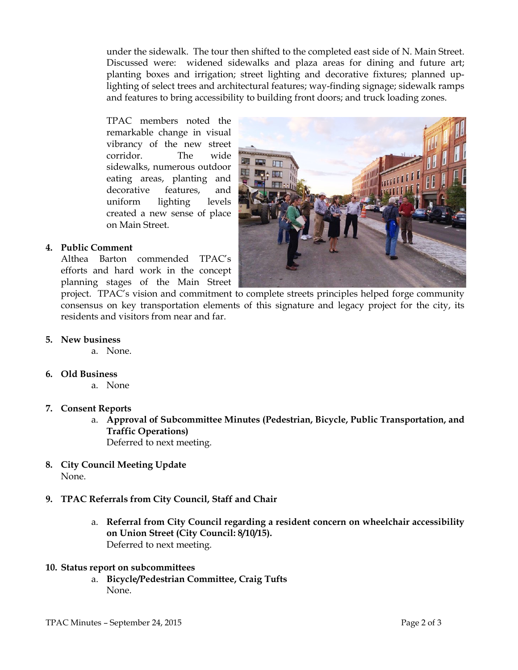under the sidewalk. The tour then shifted to the completed east side of N. Main Street. Discussed were: widened sidewalks and plaza areas for dining and future art; planting boxes and irrigation; street lighting and decorative fixtures; planned uplighting of select trees and architectural features; way-finding signage; sidewalk ramps and features to bring accessibility to building front doors; and truck loading zones.

TPAC members noted the remarkable change in visual vibrancy of the new street corridor. The wide sidewalks, numerous outdoor eating areas, planting and decorative features, and uniform lighting levels created a new sense of place on Main Street.



# 4. Public Comment

Althea Barton commended TPAC's efforts and hard work in the concept planning stages of the Main Street

project. TPAC's vision and commitment to complete streets principles helped forge community consensus on key transportation elements of this signature and legacy project for the city, its residents and visitors from near and far.

- 5. New business
	- a. None.
- 6. Old Business
	- a. None
- 7. Consent Reports
	- a. Approval of Subcommittee Minutes (Pedestrian, Bicycle, Public Transportation, and Traffic Operations) Deferred to next meeting.
- 8. City Council Meeting Update None.
- 9. TPAC Referrals from City Council, Staff and Chair
	- a. Referral from City Council regarding a resident concern on wheelchair accessibility on Union Street (City Council: 8/10/15). Deferred to next meeting.
- 10. Status report on subcommittees
	- a. Bicycle/Pedestrian Committee, Craig Tufts None.